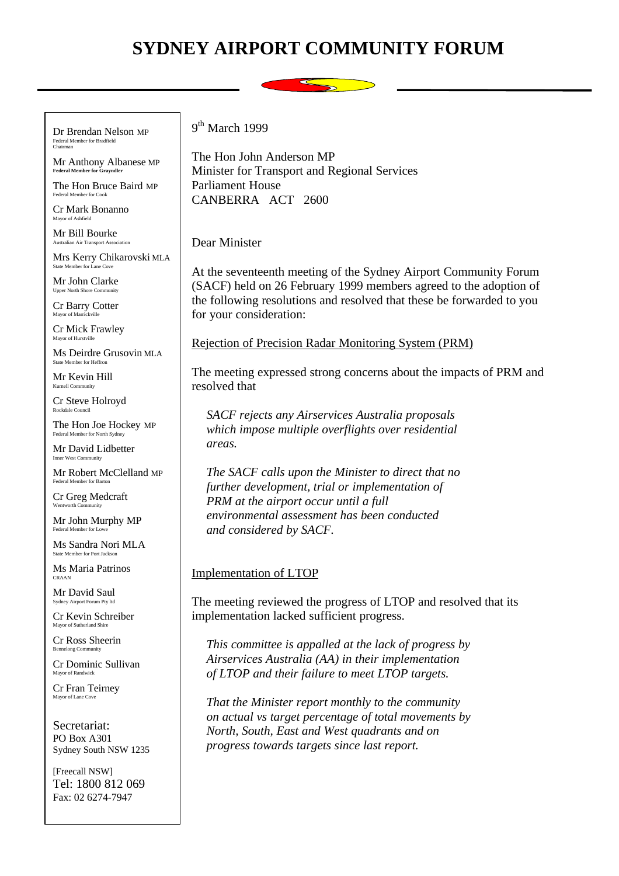# **SYDNEY AIRPORT COMMUNITY FORUM**



Dr Brendan Nelson MP Federal Member for Bradfield Chairman

Mr Anthony Albanese MP **Federal Member for Grayndler**

The Hon Bruce Baird MP Federal Member for Cook

Cr Mark Bonanno Mayor of Ashfield

Mr Bill Bourke Australian Air Transport Association

Mrs Kerry Chikarovski MLA ate Member for Lane Cov

Mr John Clarke Upper North Shore Comn

Cr Barry Cotter Mayor of Mar

Cr Mick Frawley Mayor of Hurstville

Ms Deirdre Grusovin MLA State Member for Heffron

Mr Kevin Hill Kurnell Community

Cr Steve Holroyd Rockdale Council

The Hon Joe Hockey MP Federal Member for North Sydney

Mr David Lidbetter Inner West Community

Mr Robert McClelland MP Federal Member for Barton

Cr Greg Medcraft Wentworth Community

Mr John Murphy MP Federal Member for Low

Ms Sandra Nori MLA ate Member for Port Jackson

Ms Maria Patrinos CRAAN

Mr David Saul Sydney Airport Forum Pty ltd

Cr Kevin Schreiber Mayor of Sutherland Shire

Cr Ross Sheerin Bennelong Community

Cr Dominic Sullivan Mayor of Randwick

Cr Fran Teirney Mayor of Lane Cove

Secretariat: PO Box A301 Sydney South NSW 1235

[Freecall NSW] Tel: 1800 812 069 Fax: 02 6274-7947

9<sup>th</sup> March 1999

The Hon John Anderson MP Minister for Transport and Regional Services Parliament House CANBERRA ACT 2600

Dear Minister

At the seventeenth meeting of the Sydney Airport Community Forum (SACF) held on 26 February 1999 members agreed to the adoption of the following resolutions and resolved that these be forwarded to you for your consideration:

Rejection of Precision Radar Monitoring System (PRM)

The meeting expressed strong concerns about the impacts of PRM and resolved that

*SACF rejects any Airservices Australia proposals which impose multiple overflights over residential areas.*

*The SACF calls upon the Minister to direct that no further development, trial or implementation of PRM at the airport occur until a full environmental assessment has been conducted and considered by SACF.*

## Implementation of LTOP

The meeting reviewed the progress of LTOP and resolved that its implementation lacked sufficient progress.

*This committee is appalled at the lack of progress by Airservices Australia (AA) in their implementation of LTOP and their failure to meet LTOP targets.*

*That the Minister report monthly to the community on actual vs target percentage of total movements by North, South, East and West quadrants and on progress towards targets since last report.*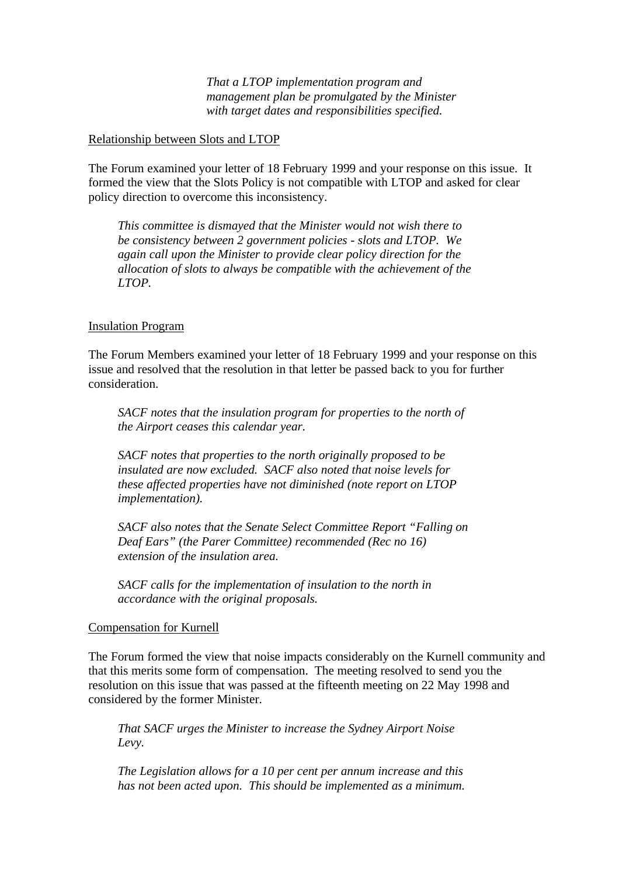*That a LTOP implementation program and management plan be promulgated by the Minister with target dates and responsibilities specified.*

#### Relationship between Slots and LTOP

The Forum examined your letter of 18 February 1999 and your response on this issue. It formed the view that the Slots Policy is not compatible with LTOP and asked for clear policy direction to overcome this inconsistency.

*This committee is dismayed that the Minister would not wish there to be consistency between 2 government policies - slots and LTOP. We again call upon the Minister to provide clear policy direction for the allocation of slots to always be compatible with the achievement of the LTOP.*

#### Insulation Program

The Forum Members examined your letter of 18 February 1999 and your response on this issue and resolved that the resolution in that letter be passed back to you for further consideration.

*SACF notes that the insulation program for properties to the north of the Airport ceases this calendar year.*

*SACF notes that properties to the north originally proposed to be insulated are now excluded. SACF also noted that noise levels for these affected properties have not diminished (note report on LTOP implementation).*

*SACF also notes that the Senate Select Committee Report "Falling on Deaf Ears" (the Parer Committee) recommended (Rec no 16) extension of the insulation area.*

*SACF calls for the implementation of insulation to the north in accordance with the original proposals.*

#### Compensation for Kurnell

The Forum formed the view that noise impacts considerably on the Kurnell community and that this merits some form of compensation. The meeting resolved to send you the resolution on this issue that was passed at the fifteenth meeting on 22 May 1998 and considered by the former Minister.

*That SACF urges the Minister to increase the Sydney Airport Noise Levy.*

*The Legislation allows for a 10 per cent per annum increase and this has not been acted upon. This should be implemented as a minimum.*